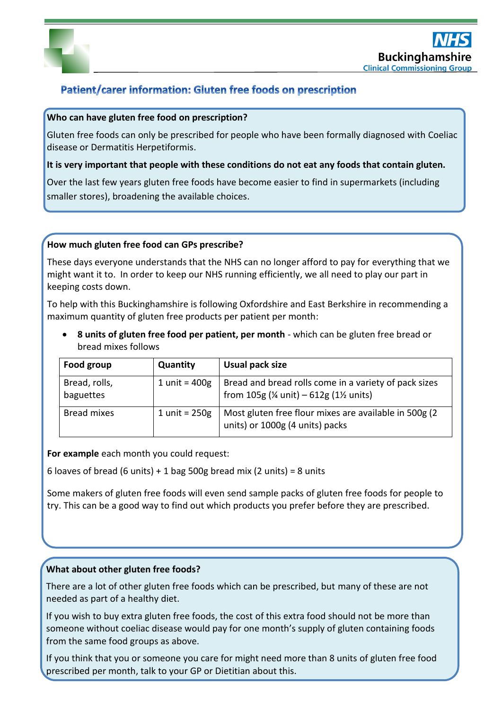

# Patient/carer information: Gluten free foods on prescription

# **Who can have gluten free food on prescription?**

Gluten free foods can only be prescribed for people who have been formally diagnosed with Coeliac disease or Dermatitis Herpetiformis.

#### **It is very important that people with these conditions do not eat any foods that contain gluten.**

Over the last few years gluten free foods have become easier to find in supermarkets (including smaller stores), broadening the available choices.

## **How much gluten free food can GPs prescribe?**

These days everyone understands that the NHS can no longer afford to pay for everything that we might want it to. In order to keep our NHS running efficiently, we all need to play our part in keeping costs down.

To help with this Buckinghamshire is following Oxfordshire and East Berkshire in recommending a maximum quantity of gluten free products per patient per month:

 **8 units of gluten free food per patient, per month** - which can be gluten free bread or bread mixes follows

| Food group                 | Quantity        | Usual pack size                                                                                   |
|----------------------------|-----------------|---------------------------------------------------------------------------------------------------|
| Bread, rolls,<br>baguettes | 1 unit = $400g$ | Bread and bread rolls come in a variety of pack sizes<br>from $105g$ (% unit) - $612g$ (1% units) |
| <b>Bread mixes</b>         | 1 unit = $250g$ | Most gluten free flour mixes are available in 500g (2)<br>units) or 1000g (4 units) packs         |

**For example** each month you could request:

6 loaves of bread (6 units) + 1 bag 500g bread mix (2 units) = 8 units

Some makers of gluten free foods will even send sample packs of gluten free foods for people to try. This can be a good way to find out which products you prefer before they are prescribed.

# **What about other gluten free foods?**

There are a lot of other gluten free foods which can be prescribed, but many of these are not needed as part of a healthy diet.

If you wish to buy extra gluten free foods, the cost of this extra food should not be more than someone without coeliac disease would pay for one month's supply of gluten containing foods from the same food groups as above.

If you think that you or someone you care for might need more than 8 units of gluten free food prescribed per month, talk to your GP or Dietitian about this.